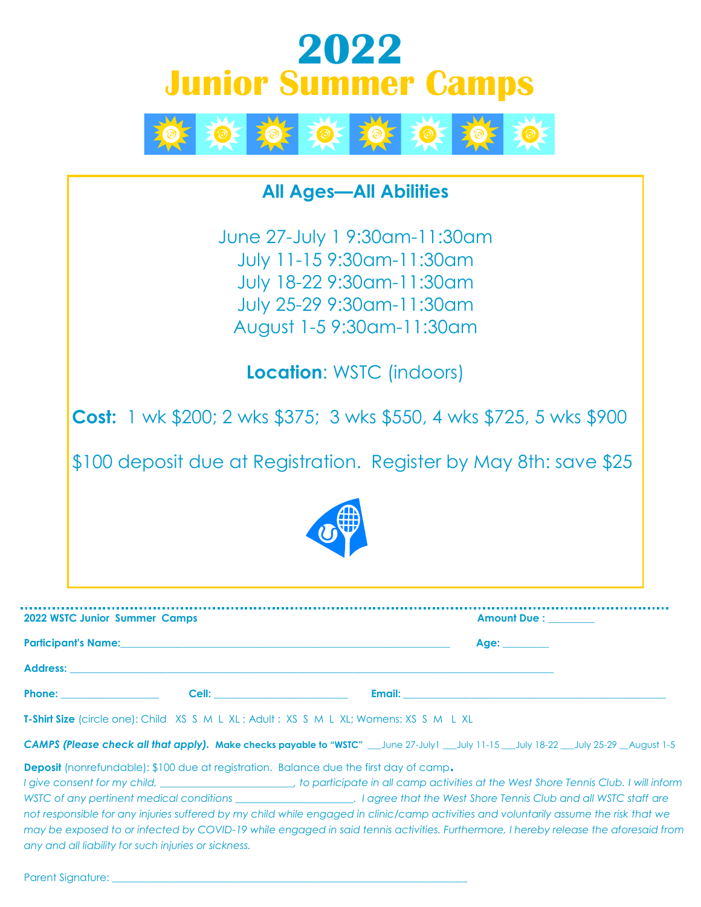## **2022 Junior Summer Camps**



## **All Ages—All Abilities** June 27-July 1 9:30am-11:30am July 11-15 9:30am-11:30am July 18-22 9:30am-11:30am July 25-29 9:30am-11:30am August 1-5 9:30am-11:30am **Location**: WSTC (indoors) **Cost:** 1 wk \$200; 2 wks \$375; 3 wks \$550, 4 wks \$725, 5 wks \$900 \$100 deposit due at Registration. Register by May 8th: save \$25

| 2022 WSTC Junior Summer Camps |       |                                                                                                                  | <b>Amount Due :</b> |  |
|-------------------------------|-------|------------------------------------------------------------------------------------------------------------------|---------------------|--|
| <b>Participant's Name:</b>    |       | and the control of the control of the control of the control of the control of the control of the control of the | Age: a              |  |
| <b>Address:</b>               |       |                                                                                                                  |                     |  |
| <b>Phone:</b>                 | Cell: | Email:                                                                                                           |                     |  |

**T-Shirt Size** (circle one): Child XS S M L XL ; Adult : XS S M L XL; Womens: XS S M L XL

*CAMPS (Please check all that apply).* **Make checks payable to "WSTC"** \_\_\_June 27-July1 \_\_\_July 11-15 \_\_\_July 18-22 \_\_\_July 25-29 \_\_August 1-5

**Deposit** (nonrefundable): \$100 due at registration. Balance due the first day of camp.

*I give consent for my child, \_\_\_\_\_\_\_\_\_\_\_\_\_\_\_\_\_\_\_\_\_\_\_\_\_\_, to participate in all camp activities at the West Shore Tennis Club. I will inform WSTC of any pertinent medical conditions \_\_\_\_\_\_\_\_\_\_\_\_\_\_\_\_\_\_\_\_\_\_\_. I agree that the West Shore Tennis Club and all WSTC staff are not responsible for any injuries suffered by my child while engaged in clinic/camp activities and voluntarily assume the risk that we may be exposed to or infected by COVID-19 while engaged in said tennis activities. Furthermore, I hereby release the aforesaid from any and all liability for such injuries or sickness.* 

Parent Signature: